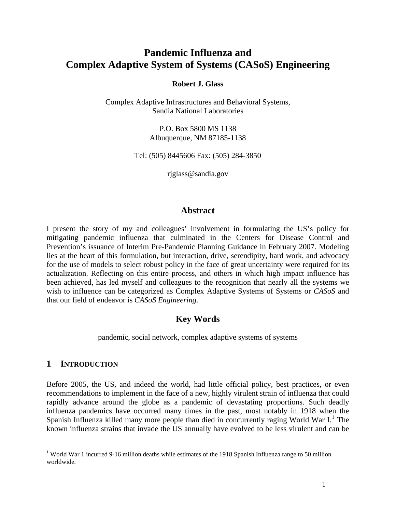# **Pandemic Influenza and Complex Adaptive System of Systems (CASoS) Engineering**

#### **Robert J. Glass**

Complex Adaptive Infrastructures and Behavioral Systems, Sandia National Laboratories

> P.O. Box 5800 MS 1138 Albuquerque, NM 87185-1138

Tel: (505) 8445606 Fax: (505) 284-3850

rjglass@sandia.gov

### **Abstract**

I present the story of my and colleagues' involvement in formulating the US's policy for mitigating pandemic influenza that culminated in the Centers for Disease Control and Prevention's issuance of Interim Pre-Pandemic Planning Guidance in February 2007. Modeling lies at the heart of this formulation, but interaction, drive, serendipity, hard work, and advocacy for the use of models to select robust policy in the face of great uncertainty were required for its actualization. Reflecting on this entire process, and others in which high impact influence has been achieved, has led myself and colleagues to the recognition that nearly all the systems we wish to influence can be categorized as Complex Adaptive Systems of Systems or *CASoS* and that our field of endeavor is *CASoS Engineering*.

# **Key Words**

pandemic, social network, complex adaptive systems of systems

### **1 INTRODUCTION**

 $\overline{a}$ 

Before 2005, the US, and indeed the world, had little official policy, best practices, or even recommendations to implement in the face of a new, highly virulent strain of influenza that could rapidly advance around the globe as a pandemic of devastating proportions. Such deadly influenza pandemics have occurred many times in the past, most notably in 1918 when the Spanish Influenza killed many more people than died in concurrently raging World War I.<sup>[1](#page-0-0)</sup> The known influenza strains that invade the US annually have evolved to be less virulent and can be

<span id="page-0-0"></span><sup>&</sup>lt;sup>1</sup> World War 1 incurred 9-16 million deaths while estimates of the 1918 Spanish Influenza range to 50 million worldwide.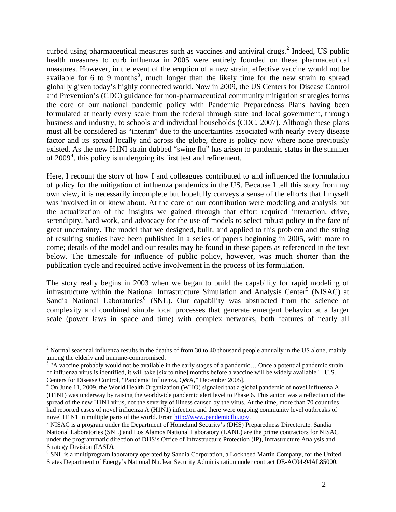<span id="page-1-5"></span>curbed using pharmaceutical measures such as vaccines and antiviral drugs. $^2$  $^2$  Indeed, US public health measures to curb influenza in 2005 were entirely founded on these pharmaceutical measures. However, in the event of the eruption of a new strain, effective vaccine would not be available for 6 to 9 months<sup>[3](#page-1-1)</sup>, much longer than the likely time for the new strain to spread globally given today's highly connected world. Now in 2009, the US Centers for Disease Control and Prevention's (CDC) guidance for non-pharmaceutical community mitigation strategies forms the core of our national pandemic policy with Pandemic Preparedness Plans having been formulated at nearly every scale from the federal through state and local government, through business and industry, to schools and individual households (CDC, 2007). Although these plans must all be considered as "interim" due to the uncertainties associated with nearly every disease factor and its spread locally and across the globe, there is policy now where none previously existed. As the new H1NI strain dubbed "swine flu" has arisen to pandemic status in the summer of  $2009<sup>4</sup>$  $2009<sup>4</sup>$  $2009<sup>4</sup>$ , this policy is undergoing its first test and refinement.

Here, I recount the story of how I and colleagues contributed to and influenced the formulation of policy for the mitigation of influenza pandemics in the US. Because I tell this story from my own view, it is necessarily incomplete but hopefully conveys a sense of the efforts that I myself was involved in or knew about. At the core of our contribution were modeling and analysis but the actualization of the insights we gained through that effort required interaction, drive, serendipity, hard work, and advocacy for the use of models to select robust policy in the face of great uncertainty. The model that we designed, built, and applied to this problem and the string of resulting studies have been published in a series of papers beginning in 2005, with more to come; details of the model and our results may be found in these papers as referenced in the text below. The timescale for influence of public policy, however, was much shorter than the publication cycle and required active involvement in the process of its formulation.

The story really begins in 2003 when we began to build the capability for rapid modeling of infrastructure within the National Infrastructure Simulation and Analysis Center<sup>[5](#page-1-3)</sup> (NISAC) at Sandia National Laboratories<sup>[6](#page-1-4)</sup> (SNL). Our capability was abstracted from the science of complexity and combined simple local processes that generate emergent behavior at a larger scale (power laws in space and time) with complex networks, both features of nearly all

<span id="page-1-0"></span><sup>&</sup>lt;sup>2</sup> Normal seasonal influenza results in the deaths of from 30 to 40 thousand people annually in the US alone, mainly among the elderly and immune-compromised.

<span id="page-1-1"></span> $3$  "A vaccine probably would not be available in the early stages of a pandemic... Once a potential pandemic strain of influenza virus is identified, it will take [six to nine] months before a vaccine will be widely available." [U.S. Centers for Disease Control, "Pandemic Influenza, Q&A," December 2005]. 4

<span id="page-1-2"></span><sup>&</sup>lt;sup>4</sup> On June 11, 2009, the World Health Organization (WHO) signaled that a global pandemic of novel influenza A (H1N1) was underway by raising the worldwide pandemic alert level to Phase 6. This action was a reflection of the spread of the new H1N1 virus, not the severity of illness caused by the virus. At the time, more than 70 countries had reported cases of novel influenza A (H1N1) infection and there were ongoing community level outbreaks of novel H1N1 in multiple parts of the world. From [http://www.pandemicflu.gov](http://www.pandemicflu.gov/).

<span id="page-1-3"></span><sup>&</sup>lt;sup>5</sup> NISAC is a program under the Department of Homeland Security's (DHS) Preparedness Directorate. Sandia National Laboratories (SNL) and Los Alamos National Laboratory (LANL) are the prime contractors for NISAC under the programmatic direction of DHS's Office of Infrastructure Protection (IP), Infrastructure Analysis and Strategy Division (IASD).

<span id="page-1-4"></span><sup>&</sup>lt;sup>6</sup> SNL is a multiprogram laboratory operated by Sandia Corporation, a Lockheed Martin Company, for the United States Department of Energy's National Nuclear Security Administration under contract DE-AC04-94AL85000.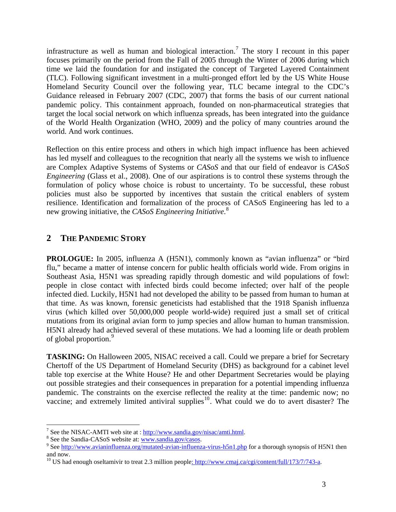<span id="page-2-4"></span>infrastructure as well as human and biological interaction.<sup>[7](#page-2-0)</sup> The story I recount in this paper focuses primarily on the period from the Fall of 2005 through the Winter of 2006 during which time we laid the foundation for and instigated the concept of Targeted Layered Containment (TLC). Following significant investment in a multi-pronged effort led by the US White House Homeland Security Council over the following year, TLC became integral to the CDC's Guidance released in February 2007 (CDC, 2007) that forms the basis of our current national pandemic policy. This containment approach, founded on non-pharmaceutical strategies that target the local social network on which influenza spreads, has been integrated into the guidance of the World Health Organization (WHO, 2009) and the policy of many countries around the world. And work continues.

Reflection on this entire process and others in which high impact influence has been achieved has led myself and colleagues to the recognition that nearly all the systems we wish to influence are Complex Adaptive Systems of Systems or *CASoS* and that our field of endeavor is *CASoS Engineering* (Glass et al., 2008). One of our aspirations is to control these systems through the formulation of policy whose choice is robust to uncertainty. To be successful, these robust policies must also be supported by incentives that sustain the critical enablers of system resilience. Identification and formalization of the process of CASoS Engineering has led to a new growing initiative, the *CASoS Engineering Initiative*. [8](#page-2-1)

# **2 THE PANDEMIC STORY**

**PROLOGUE:** In 2005, influenza A (H5N1), commonly known as "avian influenza" or "bird flu," became a matter of intense concern for public health officials world wide. From origins in Southeast Asia, H5N1 was spreading rapidly through domestic and wild populations of fowl: people in close contact with infected birds could become infected; over half of the people infected died. Luckily, H5N1 had not developed the ability to be passed from human to human at that time. As was known, forensic geneticists had established that the 1918 Spanish influenza virus (which killed over 50,000,000 people world-wide) required just a small set of critical mutations from its original avian form to jump species and allow human to human transmission. H5N1 already had achieved several of these mutations. We had a looming life or death problem of global proportion.<sup>[9](#page-2-2)</sup>

**TASKING:** On Halloween 2005, NISAC received a call. Could we prepare a brief for Secretary Chertoff of the US Department of Homeland Security (DHS) as background for a cabinet level table top exercise at the White House? He and other Department Secretaries would be playing out possible strategies and their consequences in preparation for a potential impending influenza pandemic. The constraints on the exercise reflected the reality at the time: pandemic now; no vaccine; and extremely limited antiviral supplies<sup>[10](#page-2-3)</sup>. What could we do to avert disaster? The

<span id="page-2-5"></span> $\overline{a}$ 

<span id="page-2-0"></span><sup>&</sup>lt;sup>7</sup> See the NISAC-AMTI web site at :  $\frac{http://www.sandia.gov/nisac/amti.html}{\text{8}}$ .

<span id="page-2-1"></span><sup>&</sup>lt;sup>8</sup> See the Sandia-CASoS website at: [www.sandia.gov/casos.](http://www.sandia.gov/casos)

<span id="page-2-2"></span><sup>&</sup>lt;sup>9</sup> See <http://www.avianinfluenza.org/mutated-avian-influenza-virus-h5n1.php> for a thorough synopsis of H5N1 then and now.

<span id="page-2-3"></span><sup>&</sup>lt;sup>10</sup> US had enough oseltamivir to treat 2.3 million people<u>: http://www.cmaj.ca/cgi/content/full/173/7/743-a</u>.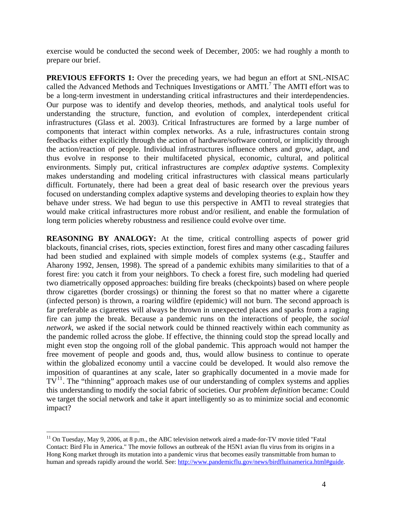exercise would be conducted the second week of December, 2005: we had roughly a month to prepare our brief.

**PREVIOUS EFFORTS 1:** Over the preceding years, we had begun an effort at SNL-NISAC called the Advanced Methods and Techniques Investigations or AMTI.<sup>[7](#page-2-4)</sup> The AMTI effort was to be a long-term investment in understanding critical infrastructures and their interdependencies. Our purpose was to identify and develop theories, methods, and analytical tools useful for understanding the structure, function, and evolution of complex, interdependent critical infrastructures (Glass et al. 2003). Critical Infrastructures are formed by a large number of components that interact within complex networks. As a rule, infrastructures contain strong feedbacks either explicitly through the action of hardware/software control, or implicitly through the action/reaction of people. Individual infrastructures influence others and grow, adapt, and thus evolve in response to their multifaceted physical, economic, cultural, and political environments. Simply put, critical infrastructures are *complex adaptive systems*. Complexity makes understanding and modeling critical infrastructures with classical means particularly difficult. Fortunately, there had been a great deal of basic research over the previous years focused on understanding complex adaptive systems and developing theories to explain how they behave under stress. We had begun to use this perspective in AMTI to reveal strategies that would make critical infrastructures more robust and/or resilient, and enable the formulation of long term policies whereby robustness and resilience could evolve over time.

**REASONING BY ANALOGY:** At the time, critical controlling aspects of power grid blackouts, financial crises, riots, species extinction, forest fires and many other cascading failures had been studied and explained with simple models of complex systems (e.g., Stauffer and Aharony 1992, Jensen, 1998). The spread of a pandemic exhibits many similarities to that of a forest fire: you catch it from your neighbors. To check a forest fire, such modeling had queried two diametrically opposed approaches: building fire breaks (checkpoints) based on where people throw cigarettes (border crossings) or thinning the forest so that no matter where a cigarette (infected person) is thrown, a roaring wildfire (epidemic) will not burn. The second approach is far preferable as cigarettes will always be thrown in unexpected places and sparks from a raging fire can jump the break. Because a pandemic runs on the interactions of people, the *social network*, we asked if the social network could be thinned reactively within each community as the pandemic rolled across the globe. If effective, the thinning could stop the spread locally and might even stop the ongoing roll of the global pandemic. This approach would not hamper the free movement of people and goods and, thus, would allow business to continue to operate within the globalized economy until a vaccine could be developed. It would also remove the imposition of quarantines at any scale, later so graphically documented in a movie made for  $TV<sup>11</sup>$  $TV<sup>11</sup>$  $TV<sup>11</sup>$ . The "thinning" approach makes use of our understanding of complex systems and applies this understanding to modify the social fabric of societies. Our *problem definition* became: Could we target the social network and take it apart intelligently so as to minimize social and economic impact?

 $\overline{a}$ 

<span id="page-3-0"></span> $11$  On Tuesday, May 9, 2006, at 8 p.m., the ABC television network aired a made-for-TV movie titled "Fatal" Contact: Bird Flu in America." The movie follows an outbreak of the H5N1 avian flu virus from its origins in a Hong Kong market through its mutation into a pandemic virus that becomes easily transmittable from human to human and spreads rapidly around the world. See:<http://www.pandemicflu.gov/news/birdfluinamerica.html#guide>.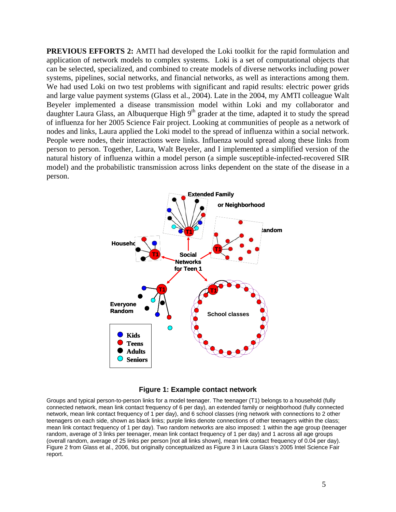**PREVIOUS EFFORTS 2:** AMTI had developed the Loki toolkit for the rapid formulation and application of network models to complex systems. Loki is a set of computational objects that can be selected, specialized, and combined to create models of diverse networks including power systems, pipelines, social networks, and financial networks, as well as interactions among them. We had used Loki on two test problems with significant and rapid results: electric power grids and large value payment systems (Glass et al., 2004). Late in the 2004, my AMTI colleague Walt Beyeler implemented a disease transmission model within Loki and my collaborator and daughter Laura Glass, an Albuquerque High 9<sup>th</sup> grader at the time, adapted it to study the spread of influenza for her 2005 Science Fair project. Looking at communities of people as a network of nodes and links, Laura applied the Loki model to the spread of influenza within a social network. People were nodes, their interactions were links. Influenza would spread along these links from person to person. Together, Laura, Walt Beyeler, and I implemented a simplified version of the natural history of influenza within a model person (a simple susceptible-infected-recovered SIR model) and the probabilistic transmission across links dependent on the state of the disease in a person.





Groups and typical person-to-person links for a model teenager. The teenager (T1) belongs to a household (fully connected network, mean link contact frequency of 6 per day), an extended family or neighborhood (fully connected network, mean link contact frequency of 1 per day), and 6 school classes (ring network with connections to 2 other teenagers on each side, shown as black links; purple links denote connections of other teenagers within the class; mean link contact frequency of 1 per day). Two random networks are also imposed: 1 within the age group (teenager random, average of 3 links per teenager, mean link contact frequency of 1 per day) and 1 across all age groups (overall random, average of 25 links per person [not all links shown], mean link contact frequency of 0.04 per day). Figure 2 from Glass et al., 2006, but originally conceptualized as Figure 3 in Laura Glass's 2005 Intel Science Fair report.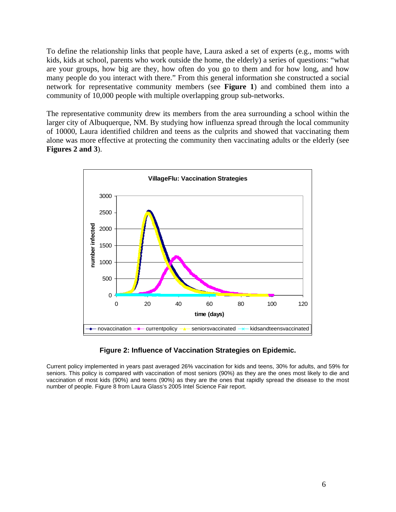To define the relationship links that people have, Laura asked a set of experts (e.g., moms with kids, kids at school, parents who work outside the home, the elderly) a series of questions: "what are your groups, how big are they, how often do you go to them and for how long, and how many people do you interact with there." From this general information she constructed a social network for representative community members (see **Figure 1**) and combined them into a community of 10,000 people with multiple overlapping group sub-networks.

The representative community drew its members from the area surrounding a school within the larger city of Albuquerque, NM. By studying how influenza spread through the local community of 10000, Laura identified children and teens as the culprits and showed that vaccinating them alone was more effective at protecting the community then vaccinating adults or the elderly (see **Figures 2 and 3**).



### **Figure 2: Influence of Vaccination Strategies on Epidemic.**

Current policy implemented in years past averaged 26% vaccination for kids and teens, 30% for adults, and 59% for seniors. This policy is compared with vaccination of most seniors (90%) as they are the ones most likely to die and vaccination of most kids (90%) and teens (90%) as they are the ones that rapidly spread the disease to the most number of people. Figure 8 from Laura Glass's 2005 Intel Science Fair report.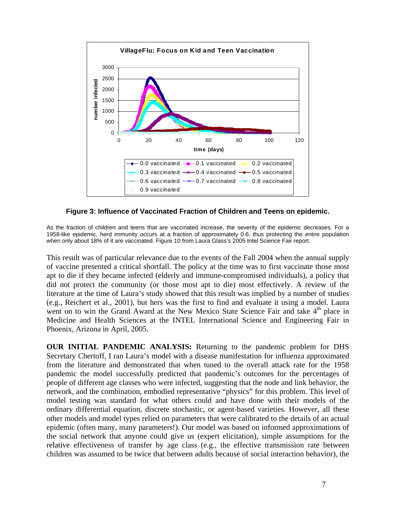

#### **Figure 3: Influence of Vaccinated Fraction of Children and Teens on epidemic.**

As the fraction of children and teens that are vaccinated increase, the severity of the epidemic decreases. For a 1958-like epidemic, herd immunity occurs at a fraction of approximately 0.6, thus protecting the entire population when only about 18% of it are vaccinated. Figure 10 from Laura Glass's 2005 Intel Science Fair report.

This result was of particular relevance due to the events of the Fall 2004 when the annual supply of vaccine presented a critical shortfall. The policy at the time was to first vaccinate those most apt to die if they became infected (elderly and immune-compromised individuals), a policy that did not protect the community (or those most apt to die) most effectively. A review of the literature at the time of Laura's study showed that this result was implied by a number of studies (e.g., Reichert et al., 2001), but hers was the first to find and evaluate it using a model. Laura went on to win the Grand Award at the New Mexico State Science Fair and take  $4<sup>th</sup>$  place in Medicine and Health Sciences at the INTEL International Science and Engineering Fair in Phoenix, Arizona in April, 2005.

**OUR INITIAL PANDEMIC ANALYSIS:** Returning to the pandemic problem for DHS Secretary Chertoff, I ran Laura's model with a disease manifestation for influenza approximated from the literature and demonstrated that when tuned to the overall attack rate for the 1958 pandemic the model successfully predicted that pandemic's outcomes for the percentages of people of different age classes who were infected, suggesting that the node and link behavior, the network, and the combination, embodied representative "physics" for this problem. This level of model testing was standard for what others could and have done with their models of the ordinary differential equation, discrete stochastic, or agent-based varieties. However, all these other models and model types relied on parameters that were calibrated to the details of an actual epidemic (often many, many parameters!). Our model was based on informed approximations of the social network that anyone could give us (expert elicitation), simple assumptions for the relative effectiveness of transfer by age class (e.g., the effective transmission rate between children was assumed to be twice that between adults because of social interaction behavior), the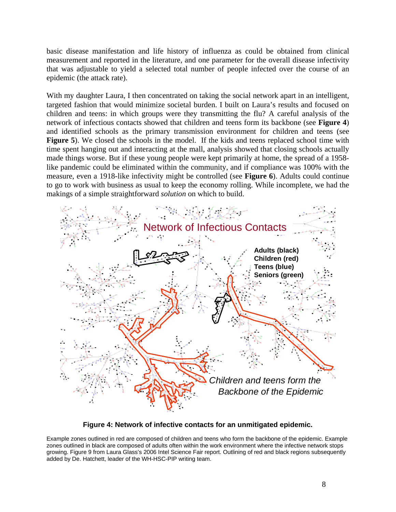basic disease manifestation and life history of influenza as could be obtained from clinical measurement and reported in the literature, and one parameter for the overall disease infectivity that was adjustable to yield a selected total number of people infected over the course of an epidemic (the attack rate).

With my daughter Laura, I then concentrated on taking the social network apart in an intelligent, targeted fashion that would minimize societal burden. I built on Laura's results and focused on children and teens: in which groups were they transmitting the flu? A careful analysis of the network of infectious contacts showed that children and teens form its backbone (see **Figure 4**) and identified schools as the primary transmission environment for children and teens (see **Figure 5**). We closed the schools in the model. If the kids and teens replaced school time with time spent hanging out and interacting at the mall, analysis showed that closing schools actually made things worse. But if these young people were kept primarily at home, the spread of a 1958 like pandemic could be eliminated within the community, and if compliance was 100% with the measure, even a 1918-like infectivity might be controlled (see **Figure 6**). Adults could continue to go to work with business as usual to keep the economy rolling. While incomplete, we had the makings of a simple straightforward *solution* on which to build.



#### **Figure 4: Network of infective contacts for an unmitigated epidemic.**

growing. Figure 9 from Laura Glass's 2006 Intel Science Fair report. Outlining of red and black regions subsequently added by De. Hatchett, leader of the WH-HSC-PIP writing team. Example zones outlined in red are composed of children and teens who form the backbone of the epidemic. Example zones outlined in black are composed of adults often within the work environment where the infective network stops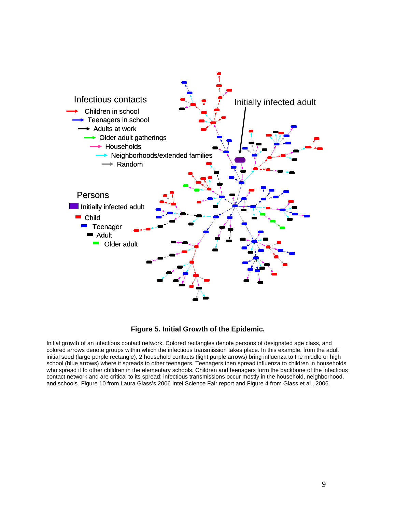

#### **Figure 5. Initial Growth of the Epidemic.**

initial seed (large purple rectangle), 2 household contacts (light purple arrows) bring influenza to the middle or high school (blue arrows) where it spreads to other teenagers. Teenagers then spread influenza to children in households who spread it to other children in the elementary schools. Children and teenagers form the backbone of the infectious contact network and are critical to its spread; infectious transmissions occur mostly in the household, neighborhood, and schools. Figure 10 from Laura Glass's 2006 Intel Science Fair report and Figure 4 from Glass et al., 2006. Initial growth of an infectious contact network. Colored rectangles denote persons of designated age class, and colored arrows denote groups within which the infectious transmission takes place. In this example, from the adult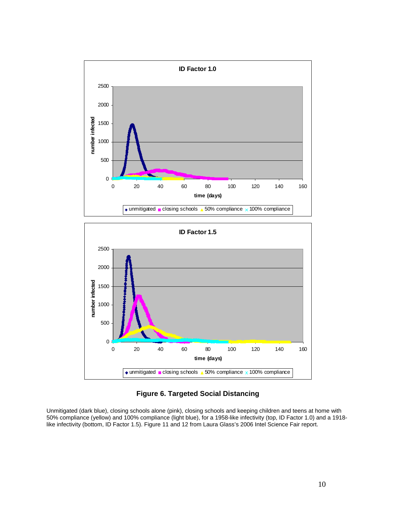



### **Figure 6. Targeted Social Distancing**

Unmitigated (dark blue), closing schools alone (pink), closing schools and keeping children and teens at home with 50% compliance (yellow) and 100% compliance (light blue), for a 1958-like infectivity (top, ID Factor 1.0) and a 1918 like infectivity (bottom, ID Factor 1.5). Figure 11 and 12 from Laura Glass's 2006 Intel Science Fair report.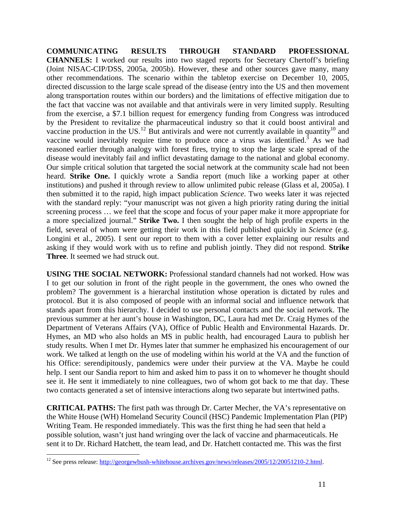**COMMUNICATING RESULTS THROUGH STANDARD PROFESSIONAL CHANNELS:** I worked our results into two staged reports for Secretary Chertoff's briefing (Joint NISAC-CIP/DSS, 2005a, 2005b). However, these and other sources gave many, many other recommendations. The scenario within the tabletop exercise on December 10, 2005, directed discussion to the large scale spread of the disease (entry into the US and then movement along transportation routes within our borders) and the limitations of effective mitigation due to the fact that vaccine was not available and that antivirals were in very limited supply. Resulting from the exercise, a \$7.1 billion request for emergency funding from Congress was introduced by the President to revitalize the pharmaceutical industry so that it could boost antiviral and vaccine production in the US.<sup>[12](#page-10-0)</sup> But antivirals and were not currently available in quantity<sup>10</sup> and vaccine would inevitably require time to produce once a virus was identified.<sup>[3](#page-1-5)</sup> As we had reasoned earlier through analogy with forest fires, trying to stop the large scale spread of the disease would inevitably fail and inflict devastating damage to the national and global economy. Our simple critical solution that targeted the social network at the community scale had not been heard. **Strike One.** I quickly wrote a Sandia report (much like a working paper at other institutions) and pushed it through review to allow unlimited pubic release (Glass et al, 2005a). I then submitted it to the rapid, high impact publication *Science*. Two weeks later it was rejected with the standard reply: "your manuscript was not given a high priority rating during the initial screening process … we feel that the scope and focus of your paper make it more appropriate for a more specialized journal." **Strike Two.** I then sought the help of high profile experts in the field, several of whom were getting their work in this field published quickly in *Science* (e.g. Longini et al., 2005). I sent our report to them with a cover letter explaining our results and asking if they would work with us to refine and publish jointly. They did not respond. **Strike Three**. It seemed we had struck out.

**USING THE SOCIAL NETWORK:** Professional standard channels had not worked. How was I to get our solution in front of the right people in the government, the ones who owned the problem? The government is a hierarchal institution whose operation is dictated by rules and protocol. But it is also composed of people with an informal social and influence network that stands apart from this hierarchy. I decided to use personal contacts and the social network. The previous summer at her aunt's house in Washington, DC, Laura had met Dr. Craig Hymes of the Department of Veterans Affairs (VA), Office of Public Health and Environmental Hazards. Dr. Hymes, an MD who also holds an MS in public health, had encouraged Laura to publish her study results. When I met Dr. Hymes later that summer he emphasized his encouragement of our work. We talked at length on the use of modeling within his world at the VA and the function of his Office: serendipitously, pandemics were under their purview at the VA. Maybe he could help. I sent our Sandia report to him and asked him to pass it on to whomever he thought should see it. He sent it immediately to nine colleagues, two of whom got back to me that day. These two contacts generated a set of intensive interactions along two separate but intertwined paths.

**CRITICAL PATHS:** The first path was through Dr. Carter Mecher, the VA's representative on the White House (WH) Homeland Security Council (HSC) Pandemic Implementation Plan (PIP) Writing Team. He responded immediately. This was the first thing he had seen that held a possible solution, wasn't just hand wringing over the lack of vaccine and pharmaceuticals. He sent it to Dr. Richard Hatchett, the team lead, and Dr. Hatchett contacted me. This was the first

<u>.</u>

<span id="page-10-0"></span><sup>&</sup>lt;sup>12</sup> See press release: [http://georgewbush-whitehouse.archives.gov/news/releases/2005/12/20051210-2.html.](http://georgewbush-whitehouse.archives.gov/news/releases/2005/12/20051210-2.html)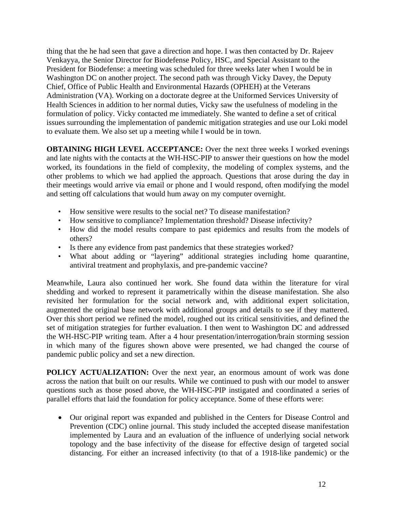thing that the he had seen that gave a direction and hope. I was then contacted by Dr. Rajeev Venkayya, the Senior Director for Biodefense Policy, HSC, and Special Assistant to the President for Biodefense: a meeting was scheduled for three weeks later when I would be in Washington DC on another project. The second path was through Vicky Davey, the Deputy Chief, Office of Public Health and Environmental Hazards (OPHEH) at the Veterans Administration (VA). Working on a doctorate degree at the Uniformed Services University of Health Sciences in addition to her normal duties, Vicky saw the usefulness of modeling in the formulation of policy. Vicky contacted me immediately. She wanted to define a set of critical issues surrounding the implementation of pandemic mitigation strategies and use our Loki model to evaluate them. We also set up a meeting while I would be in town.

**OBTAINING HIGH LEVEL ACCEPTANCE:** Over the next three weeks I worked evenings and late nights with the contacts at the WH-HSC-PIP to answer their questions on how the model worked, its foundations in the field of complexity, the modeling of complex systems, and the other problems to which we had applied the approach. Questions that arose during the day in their meetings would arrive via email or phone and I would respond, often modifying the model and setting off calculations that would hum away on my computer overnight.

- How sensitive were results to the social net? To disease manifestation?
- How sensitive to compliance? Implementation threshold? Disease infectivity?
- How did the model results compare to past epidemics and results from the models of others?
- Is there any evidence from past pandemics that these strategies worked?
- What about adding or "layering" additional strategies including home quarantine, antiviral treatment and prophylaxis, and pre-pandemic vaccine?

Meanwhile, Laura also continued her work. She found data within the literature for viral shedding and worked to represent it parametrically within the disease manifestation. She also revisited her formulation for the social network and, with additional expert solicitation, augmented the original base network with additional groups and details to see if they mattered. Over this short period we refined the model, roughed out its critical sensitivities, and defined the set of mitigation strategies for further evaluation. I then went to Washington DC and addressed the WH-HSC-PIP writing team. After a 4 hour presentation/interrogation/brain storming session in which many of the figures shown above were presented, we had changed the course of pandemic public policy and set a new direction.

**POLICY ACTUALIZATION:** Over the next year, an enormous amount of work was done across the nation that built on our results. While we continued to push with our model to answer questions such as those posed above, the WH-HSC-PIP instigated and coordinated a series of parallel efforts that laid the foundation for policy acceptance. Some of these efforts were:

• Our original report was expanded and published in the Centers for Disease Control and Prevention (CDC) online journal. This study included the accepted disease manifestation implemented by Laura and an evaluation of the influence of underlying social network topology and the base infectivity of the disease for effective design of targeted social distancing. For either an increased infectivity (to that of a 1918-like pandemic) or the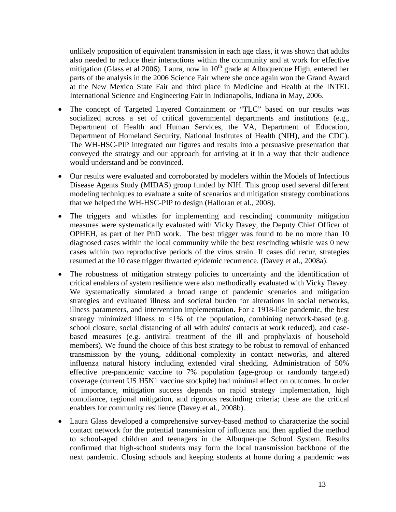unlikely proposition of equivalent transmission in each age class, it was shown that adults also needed to reduce their interactions within the community and at work for effective mitigation (Glass et al 2006). Laura, now in  $10<sup>th</sup>$  grade at Albuquerque High, entered her parts of the analysis in the 2006 Science Fair where she once again won the Grand Award at the New Mexico State Fair and third place in Medicine and Health at the INTEL International Science and Engineering Fair in Indianapolis, Indiana in May, 2006.

- The concept of Targeted Layered Containment or "TLC" based on our results was socialized across a set of critical governmental departments and institutions (e.g., Department of Health and Human Services, the VA, Department of Education, Department of Homeland Security, National Institutes of Health (NIH), and the CDC). The WH-HSC-PIP integrated our figures and results into a persuasive presentation that conveyed the strategy and our approach for arriving at it in a way that their audience would understand and be convinced.
- Our results were evaluated and corroborated by modelers within the Models of Infectious Disease Agents Study (MIDAS) group funded by NIH. This group used several different modeling techniques to evaluate a suite of scenarios and mitigation strategy combinations that we helped the WH-HSC-PIP to design (Halloran et al., 2008).
- The triggers and whistles for implementing and rescinding community mitigation measures were systematically evaluated with Vicky Davey, the Deputy Chief Officer of OPHEH, as part of her PhD work. The best trigger was found to be no more than 10 diagnosed cases within the local community while the best rescinding whistle was 0 new cases within two reproductive periods of the virus strain. If cases did recur, strategies resumed at the 10 case trigger thwarted epidemic recurrence. (Davey et al., 2008a).
- The robustness of mitigation strategy policies to uncertainty and the identification of critical enablers of system resilience were also methodically evaluated with Vicky Davey. We systematically simulated a broad range of pandemic scenarios and mitigation strategies and evaluated illness and societal burden for alterations in social networks, illness parameters, and intervention implementation. For a 1918-like pandemic, the best strategy minimized illness to  $\langle 1\% \rangle$  of the population, combining network-based (e.g. school closure, social distancing of all with adults' contacts at work reduced), and casebased measures (e.g. antiviral treatment of the ill and prophylaxis of household members). We found the choice of this best strategy to be robust to removal of enhanced transmission by the young, additional complexity in contact networks, and altered influenza natural history including extended viral shedding. Administration of 50% effective pre-pandemic vaccine to 7% population (age-group or randomly targeted) coverage (current US H5N1 vaccine stockpile) had minimal effect on outcomes. In order of importance, mitigation success depends on rapid strategy implementation, high compliance, regional mitigation, and rigorous rescinding criteria; these are the critical enablers for community resilience (Davey et al., 2008b).
- Laura Glass developed a comprehensive survey-based method to characterize the social contact network for the potential transmission of influenza and then applied the method to school-aged children and teenagers in the Albuquerque School System. Results confirmed that high-school students may form the local transmission backbone of the next pandemic. Closing schools and keeping students at home during a pandemic was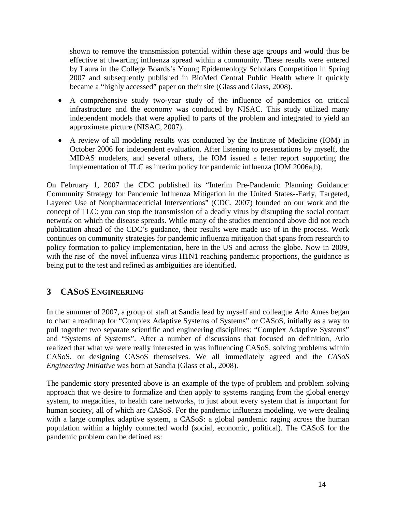shown to remove the transmission potential within these age groups and would thus be effective at thwarting influenza spread within a community. These results were entered by Laura in the College Boards's Young Epidemeology Scholars Competition in Spring 2007 and subsequently published in BioMed Central Public Health where it quickly became a "highly accessed" paper on their site (Glass and Glass, 2008).

- A comprehensive study two-year study of the influence of pandemics on critical infrastructure and the economy was conduced by NISAC. This study utilized many independent models that were applied to parts of the problem and integrated to yield an approximate picture (NISAC, 2007).
- A review of all modeling results was conducted by the Institute of Medicine (IOM) in October 2006 for independent evaluation. After listening to presentations by myself, the MIDAS modelers, and several others, the IOM issued a letter report supporting the implementation of TLC as interim policy for pandemic influenza (IOM 2006a,b).

On February 1, 2007 the CDC published its "Interim Pre-Pandemic Planning Guidance: Community Strategy for Pandemic Influenza Mitigation in the United States--Early, Targeted, Layered Use of Nonpharmaceuticial Interventions" (CDC, 2007) founded on our work and the concept of TLC: you can stop the transmission of a deadly virus by disrupting the social contact network on which the disease spreads. While many of the studies mentioned above did not reach publication ahead of the CDC's guidance, their results were made use of in the process. Work continues on community strategies for pandemic influenza mitigation that spans from research to policy formation to policy implementation, here in the US and across the globe. Now in 2009, with the rise of the novel influenza virus H1N1 reaching pandemic proportions, the guidance is being put to the test and refined as ambiguities are identified.

# **3 CASOS ENGINEERING**

In the summer of 2007, a group of staff at Sandia lead by myself and colleague Arlo Ames began to chart a roadmap for "Complex Adaptive Systems of Systems" or CASoS, initially as a way to pull together two separate scientific and engineering disciplines: "Complex Adaptive Systems" and "Systems of Systems". After a number of discussions that focused on definition, Arlo realized that what we were really interested in was influencing CASoS, solving problems within CASoS, or designing CASoS themselves. We all immediately agreed and the *CASoS Engineering Initiative* was born at Sandia (Glass et al., 2008).

The pandemic story presented above is an example of the type of problem and problem solving approach that we desire to formalize and then apply to systems ranging from the global energy system, to megacities, to health care networks, to just about every system that is important for human society, all of which are CASoS. For the pandemic influenza modeling, we were dealing with a large complex adaptive system, a CASoS: a global pandemic raging across the human population within a highly connected world (social, economic, political). The CASoS for the pandemic problem can be defined as: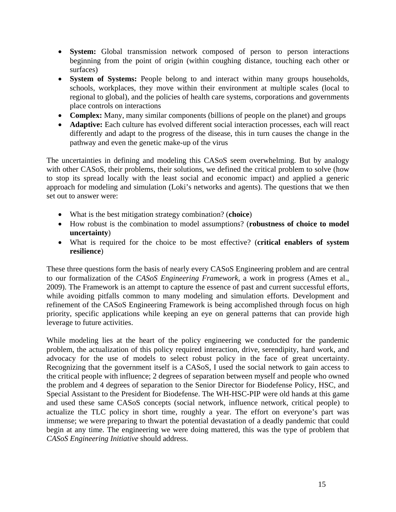- **System:** Global transmission network composed of person to person interactions beginning from the point of origin (within coughing distance, touching each other or surfaces)
- **System of Systems:** People belong to and interact within many groups households, schools, workplaces, they move within their environment at multiple scales (local to regional to global), and the policies of health care systems, corporations and governments place controls on interactions
- **Complex:** Many, many similar components (billions of people on the planet) and groups
- **Adaptive:** Each culture has evolved different social interaction processes, each will react differently and adapt to the progress of the disease, this in turn causes the change in the pathway and even the genetic make-up of the virus

The uncertainties in defining and modeling this CASoS seem overwhelming. But by analogy with other CASoS, their problems, their solutions, we defined the critical problem to solve (how to stop its spread locally with the least social and economic impact) and applied a generic approach for modeling and simulation (Loki's networks and agents). The questions that we then set out to answer were:

- What is the best mitigation strategy combination? (**choice**)
- How robust is the combination to model assumptions? (**robustness of choice to model uncertainty**)
- What is required for the choice to be most effective? (**critical enablers of system resilience**)

These three questions form the basis of nearly every CASoS Engineering problem and are central to our formalization of the *CASoS Engineering Framework*, a work in progress (Ames et al., 2009). The Framework is an attempt to capture the essence of past and current successful efforts, while avoiding pitfalls common to many modeling and simulation efforts. Development and refinement of the CASoS Engineering Framework is being accomplished through focus on high priority, specific applications while keeping an eye on general patterns that can provide high leverage to future activities.

While modeling lies at the heart of the policy engineering we conducted for the pandemic problem, the actualization of this policy required interaction, drive, serendipity, hard work, and advocacy for the use of models to select robust policy in the face of great uncertainty. Recognizing that the government itself is a CASoS, I used the social network to gain access to the critical people with influence; 2 degrees of separation between myself and people who owned the problem and 4 degrees of separation to the Senior Director for Biodefense Policy, HSC, and Special Assistant to the President for Biodefense. The WH-HSC-PIP were old hands at this game and used these same CASoS concepts (social network, influence network, critical people) to actualize the TLC policy in short time, roughly a year. The effort on everyone's part was immense; we were preparing to thwart the potential devastation of a deadly pandemic that could begin at any time. The engineering we were doing mattered, this was the type of problem that *CASoS Engineering Initiative* should address.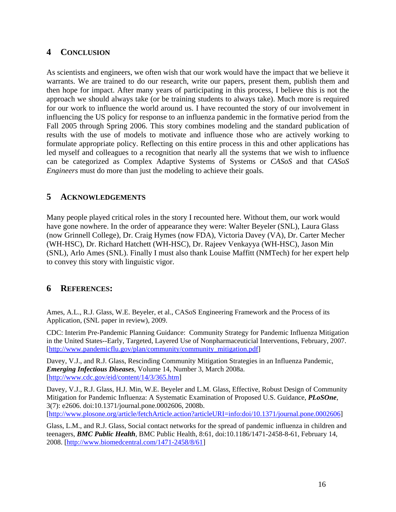# **4 CONCLUSION**

As scientists and engineers, we often wish that our work would have the impact that we believe it warrants. We are trained to do our research, write our papers, present them, publish them and then hope for impact. After many years of participating in this process, I believe this is not the approach we should always take (or be training students to always take). Much more is required for our work to influence the world around us. I have recounted the story of our involvement in influencing the US policy for response to an influenza pandemic in the formative period from the Fall 2005 through Spring 2006. This story combines modeling and the standard publication of results with the use of models to motivate and influence those who are actively working to formulate appropriate policy. Reflecting on this entire process in this and other applications has led myself and colleagues to a recognition that nearly all the systems that we wish to influence can be categorized as Complex Adaptive Systems of Systems or *CASoS* and that *CASoS Engineers* must do more than just the modeling to achieve their goals.

# **5 ACKNOWLEDGEMENTS**

Many people played critical roles in the story I recounted here. Without them, our work would have gone nowhere. In the order of appearance they were: Walter Beyeler (SNL), Laura Glass (now Grinnell College), Dr. Craig Hymes (now FDA), Victoria Davey (VA), Dr. Carter Mecher (WH-HSC), Dr. Richard Hatchett (WH-HSC), Dr. Rajeev Venkayya (WH-HSC), Jason Min (SNL), Arlo Ames (SNL). Finally I must also thank Louise Maffitt (NMTech) for her expert help to convey this story with linguistic vigor.

# **6 REFERENCES:**

Ames, A.L., R.J. Glass, W.E. Beyeler, et al., CASoS Engineering Framework and the Process of its Application, (SNL paper in review), 2009.

CDC: Interim Pre-Pandemic Planning Guidance: Community Strategy for Pandemic Influenza Mitigation in the United States--Early, Targeted, Layered Use of Nonpharmaceuticial Interventions, February, 2007. [[http://www.pandemicflu.gov/plan/community/community\\_mitigation.pdf](http://www.pandemicflu.gov/plan/community/community_mitigation.pdf)]

Davey, V.J., and R.J. Glass, Rescinding Community Mitigation Strategies in an Influenza Pandemic, *Emerging Infectious Diseases*, Volume 14, Number 3, March 2008a. [<http://www.cdc.gov/eid/content/14/3/365.htm>]

Davey, V.J., R.J. Glass, H.J. Min, W.E. Beyeler and L.M. Glass, Effective, Robust Design of Community Mitigation for Pandemic Influenza: A Systematic Examination of Proposed U.S. Guidance, *PLoSOne*, 3(7): e2606. doi:10.1371/journal.pone.0002606, 2008b. [[http://www.plosone.org/article/fetchArticle.action?articleURI=info:doi/10.1371/journal.pone.0002606\]](http://www.plosone.org/article/fetchArticle.action?articleURI=info:doi/10.1371/journal.pone.0002606)

Glass, L.M., and R.J. Glass, Social contact networks for the spread of pandemic influenza in children and teenagers, *BMC Public Health*, BMC Public Health, 8:61, doi:10.1186/1471-2458-8-61, February 14, 2008. [\[http://www.biomedcentral.com/1471-2458/8/61](http://www.biomedcentral.com/1471-2458/8/61)]